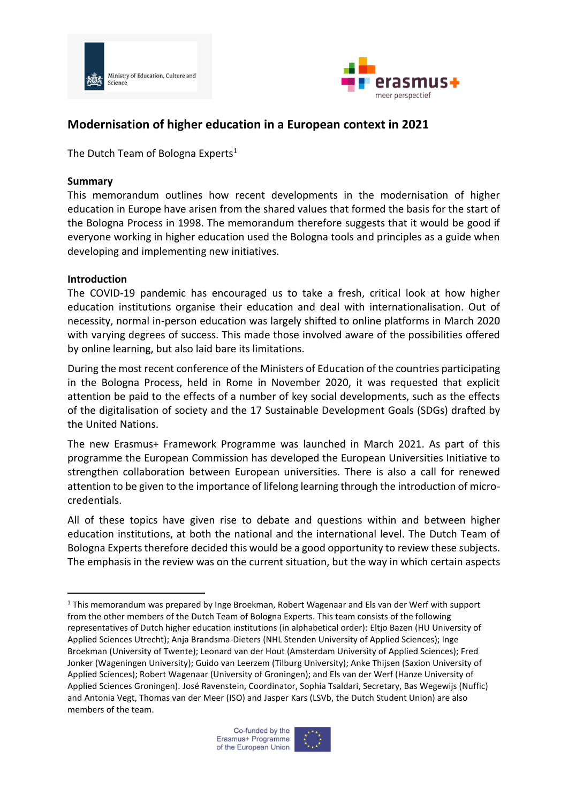



# **Modernisation of higher education in a European context in 2021**

The Dutch Team of Bologna Experts<sup>1</sup>

#### **Summary**

This memorandum outlines how recent developments in the modernisation of higher education in Europe have arisen from the shared values that formed the basis for the start of the Bologna Process in 1998. The memorandum therefore suggests that it would be good if everyone working in higher education used the Bologna tools and principles as a guide when developing and implementing new initiatives.

#### **Introduction**

The COVID-19 pandemic has encouraged us to take a fresh, critical look at how higher education institutions organise their education and deal with internationalisation. Out of necessity, normal in-person education was largely shifted to online platforms in March 2020 with varying degrees of success. This made those involved aware of the possibilities offered by online learning, but also laid bare its limitations.

During the most recent conference of the Ministers of Education of the countries participating in the Bologna Process, held in Rome in November 2020, it was requested that explicit attention be paid to the effects of a number of key social developments, such as the effects of the digitalisation of society and the 17 Sustainable Development Goals (SDGs) drafted by the United Nations.

The new Erasmus+ Framework Programme was launched in March 2021. As part of this programme the European Commission has developed the European Universities Initiative to strengthen collaboration between European universities. There is also a call for renewed attention to be given to the importance of lifelong learning through the introduction of microcredentials.

All of these topics have given rise to debate and questions within and between higher education institutions, at both the national and the international level. The Dutch Team of Bologna Experts therefore decided this would be a good opportunity to review these subjects. The emphasis in the review was on the current situation, but the way in which certain aspects



<sup>1</sup> This memorandum was prepared by Inge Broekman, Robert Wagenaar and Els van der Werf with support from the other members of the Dutch Team of Bologna Experts. This team consists of the following representatives of Dutch higher education institutions (in alphabetical order): Eltjo Bazen (HU University of Applied Sciences Utrecht); Anja Brandsma-Dieters (NHL Stenden University of Applied Sciences); Inge Broekman (University of Twente); Leonard van der Hout (Amsterdam University of Applied Sciences); Fred Jonker (Wageningen University); Guido van Leerzem (Tilburg University); Anke Thijsen (Saxion University of Applied Sciences); Robert Wagenaar (University of Groningen); and Els van der Werf (Hanze University of Applied Sciences Groningen). José Ravenstein, Coordinator, Sophia Tsaldari, Secretary, Bas Wegewijs (Nuffic) and Antonia Vegt, Thomas van der Meer (ISO) and Jasper Kars (LSVb, the Dutch Student Union) are also members of the team.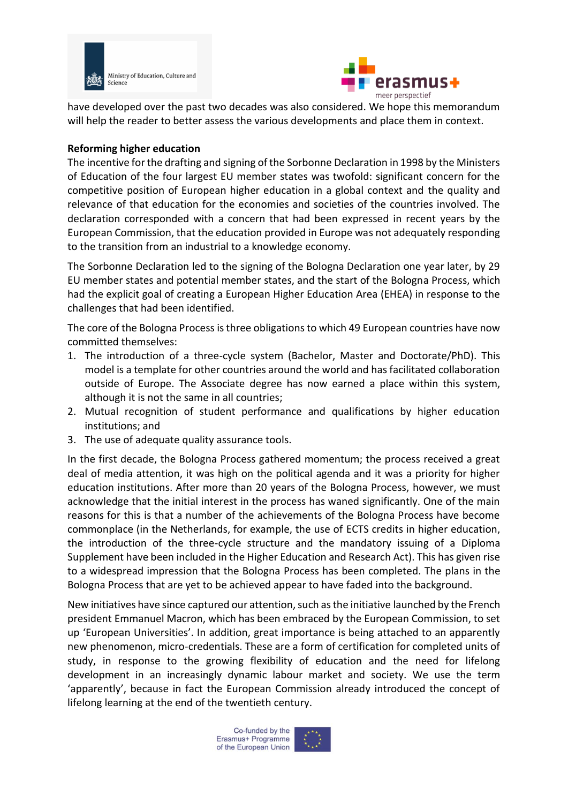



have developed over the past two decades was also considered. We hope this memorandum will help the reader to better assess the various developments and place them in context.

#### **Reforming higher education**

The incentive for the drafting and signing of the Sorbonne Declaration in 1998 by the Ministers of Education of the four largest EU member states was twofold: significant concern for the competitive position of European higher education in a global context and the quality and relevance of that education for the economies and societies of the countries involved. The declaration corresponded with a concern that had been expressed in recent years by the European Commission, that the education provided in Europe was not adequately responding to the transition from an industrial to a knowledge economy.

The Sorbonne Declaration led to the signing of the Bologna Declaration one year later, by 29 EU member states and potential member states, and the start of the Bologna Process, which had the explicit goal of creating a European Higher Education Area (EHEA) in response to the challenges that had been identified.

The core of the Bologna Process is three obligations to which 49 European countries have now committed themselves:

- 1. The introduction of a three-cycle system (Bachelor, Master and Doctorate/PhD). This model is a template for other countries around the world and has facilitated collaboration outside of Europe. The Associate degree has now earned a place within this system, although it is not the same in all countries;
- 2. Mutual recognition of student performance and qualifications by higher education institutions; and
- 3. The use of adequate quality assurance tools.

In the first decade, the Bologna Process gathered momentum; the process received a great deal of media attention, it was high on the political agenda and it was a priority for higher education institutions. After more than 20 years of the Bologna Process, however, we must acknowledge that the initial interest in the process has waned significantly. One of the main reasons for this is that a number of the achievements of the Bologna Process have become commonplace (in the Netherlands, for example, the use of ECTS credits in higher education, the introduction of the three-cycle structure and the mandatory issuing of a Diploma Supplement have been included in the Higher Education and Research Act). This has given rise to a widespread impression that the Bologna Process has been completed. The plans in the Bologna Process that are yet to be achieved appear to have faded into the background.

New initiatives have since captured our attention, such as the initiative launched by the French president Emmanuel Macron, which has been embraced by the European Commission, to set up 'European Universities'. In addition, great importance is being attached to an apparently new phenomenon, micro-credentials. These are a form of certification for completed units of study, in response to the growing flexibility of education and the need for lifelong development in an increasingly dynamic labour market and society. We use the term 'apparently', because in fact the European Commission already introduced the concept of lifelong learning at the end of the twentieth century.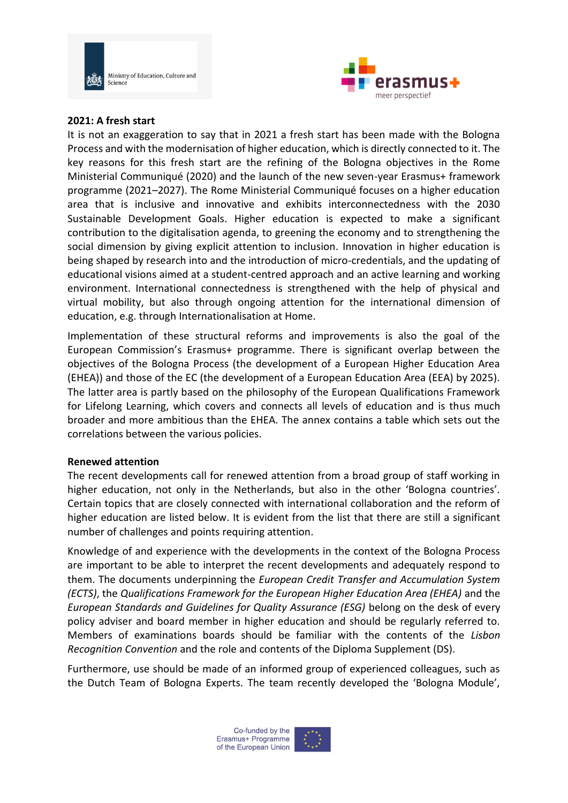



#### **2021: A fresh start**

It is not an exaggeration to say that in 2021 a fresh start has been made with the Bologna Process and with the modernisation of higher education, which is directly connected to it. The key reasons for this fresh start are the refining of the Bologna objectives in the Rome Ministerial Communiqué (2020) and the launch of the new seven-year Erasmus+ framework programme (2021–2027). The Rome Ministerial Communiqué focuses on a higher education area that is inclusive and innovative and exhibits interconnectedness with the 2030 Sustainable Development Goals. Higher education is expected to make a significant contribution to the digitalisation agenda, to greening the economy and to strengthening the social dimension by giving explicit attention to inclusion. Innovation in higher education is being shaped by research into and the introduction of micro-credentials, and the updating of educational visions aimed at a student-centred approach and an active learning and working environment. International connectedness is strengthened with the help of physical and virtual mobility, but also through ongoing attention for the international dimension of education, e.g. through Internationalisation at Home.

Implementation of these structural reforms and improvements is also the goal of the European Commission's Erasmus+ programme. There is significant overlap between the objectives of the Bologna Process (the development of a European Higher Education Area (EHEA)) and those of the EC (the development of a European Education Area (EEA) by 2025). The latter area is partly based on the philosophy of the European Qualifications Framework for Lifelong Learning, which covers and connects all levels of education and is thus much broader and more ambitious than the EHEA. The annex contains a table which sets out the correlations between the various policies.

#### **Renewed attention**

The recent developments call for renewed attention from a broad group of staff working in higher education, not only in the Netherlands, but also in the other 'Bologna countries'. Certain topics that are closely connected with international collaboration and the reform of higher education are listed below. It is evident from the list that there are still a significant number of challenges and points requiring attention.

Knowledge of and experience with the developments in the context of the Bologna Process are important to be able to interpret the recent developments and adequately respond to them. The documents underpinning the *European Credit Transfer and Accumulation System (ECTS)*, the *Qualifications Framework for the European Higher Education Area (EHEA)* and the *European Standards and Guidelines for Quality Assurance (ESG)* belong on the desk of every policy adviser and board member in higher education and should be regularly referred to. Members of examinations boards should be familiar with the contents of the *Lisbon Recognition Convention* and the role and contents of the Diploma Supplement (DS).

Furthermore, use should be made of an informed group of experienced colleagues, such as the Dutch Team of Bologna Experts. The team recently developed the 'Bologna Module',

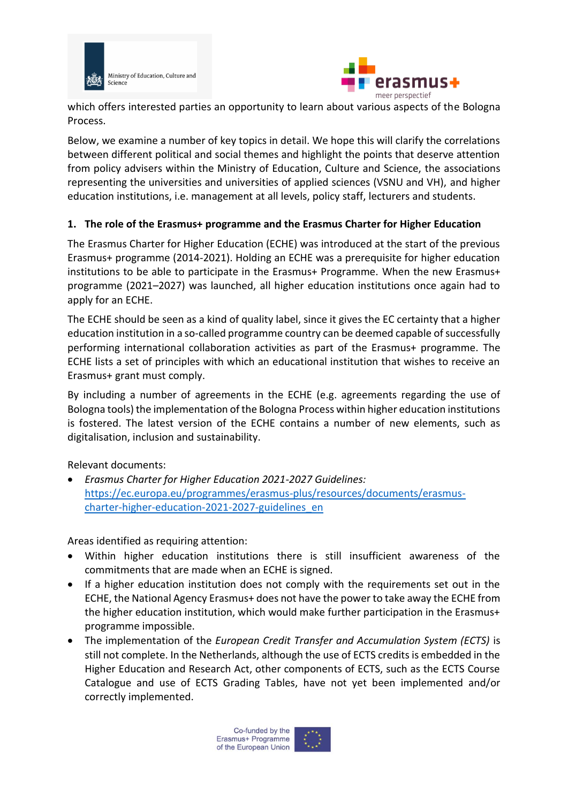



which offers interested parties an opportunity to learn about various aspects of the Bologna Process.

Below, we examine a number of key topics in detail. We hope this will clarify the correlations between different political and social themes and highlight the points that deserve attention from policy advisers within the Ministry of Education, Culture and Science, the associations representing the universities and universities of applied sciences (VSNU and VH), and higher education institutions, i.e. management at all levels, policy staff, lecturers and students.

### **1. The role of the Erasmus+ programme and the Erasmus Charter for Higher Education**

The Erasmus Charter for Higher Education (ECHE) was introduced at the start of the previous Erasmus+ programme (2014-2021). Holding an ECHE was a prerequisite for higher education institutions to be able to participate in the Erasmus+ Programme. When the new Erasmus+ programme (2021–2027) was launched, all higher education institutions once again had to apply for an ECHE.

The ECHE should be seen as a kind of quality label, since it gives the EC certainty that a higher education institution in a so-called programme country can be deemed capable of successfully performing international collaboration activities as part of the Erasmus+ programme. The ECHE lists a set of principles with which an educational institution that wishes to receive an Erasmus+ grant must comply.

By including a number of agreements in the ECHE (e.g. agreements regarding the use of Bologna tools) the implementation of the Bologna Process within higher education institutions is fostered. The latest version of the ECHE contains a number of new elements, such as digitalisation, inclusion and sustainability.

Relevant documents:

• *Erasmus Charter for Higher Education 2021-2027 Guidelines:* [https://ec.europa.eu/programmes/erasmus-plus/resources/documents/erasmus](https://ec.europa.eu/programmes/erasmus-plus/resources/documents/erasmus-charter-higher-education-2021-2027-guidelines_en)[charter-higher-education-2021-2027-guidelines\\_en](https://ec.europa.eu/programmes/erasmus-plus/resources/documents/erasmus-charter-higher-education-2021-2027-guidelines_en)

- Within higher education institutions there is still insufficient awareness of the commitments that are made when an ECHE is signed.
- If a higher education institution does not comply with the requirements set out in the ECHE, the National Agency Erasmus+ does not have the power to take away the ECHE from the higher education institution, which would make further participation in the Erasmus+ programme impossible.
- The implementation of the *European Credit Transfer and Accumulation System (ECTS)* is still not complete. In the Netherlands, although the use of ECTS credits is embedded in the Higher Education and Research Act, other components of ECTS, such as the ECTS Course Catalogue and use of ECTS Grading Tables, have not yet been implemented and/or correctly implemented.

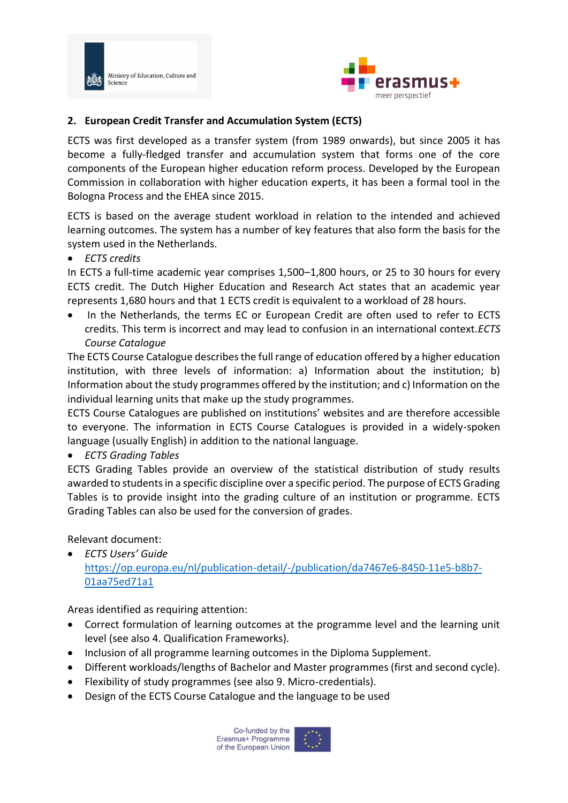



### **2. European Credit Transfer and Accumulation System (ECTS)**

ECTS was first developed as a transfer system (from 1989 onwards), but since 2005 it has become a fully-fledged transfer and accumulation system that forms one of the core components of the European higher education reform process. Developed by the European Commission in collaboration with higher education experts, it has been a formal tool in the Bologna Process and the EHEA since 2015.

ECTS is based on the average student workload in relation to the intended and achieved learning outcomes. The system has a number of key features that also form the basis for the system used in the Netherlands.

• *ECTS credits*

In ECTS a full-time academic year comprises 1,500–1,800 hours, or 25 to 30 hours for every ECTS credit. The Dutch Higher Education and Research Act states that an academic year represents 1,680 hours and that 1 ECTS credit is equivalent to a workload of 28 hours.

In the Netherlands, the terms EC or European Credit are often used to refer to ECTS credits. This term is incorrect and may lead to confusion in an international context.*ECTS Course Catalogue*

The ECTS Course Catalogue describes the full range of education offered by a higher education institution, with three levels of information: a) Information about the institution; b) Information about the study programmes offered by the institution; and c) Information on the individual learning units that make up the study programmes.

ECTS Course Catalogues are published on institutions' websites and are therefore accessible to everyone. The information in ECTS Course Catalogues is provided in a widely-spoken language (usually English) in addition to the national language.

• *ECTS Grading Tables*

ECTS Grading Tables provide an overview of the statistical distribution of study results awarded to students in a specific discipline over a specific period. The purpose of ECTS Grading Tables is to provide insight into the grading culture of an institution or programme. ECTS Grading Tables can also be used for the conversion of grades.

Relevant document:

• *ECTS Users' Guide* [https://op.europa.eu/nl/publication-detail/-/publication/da7467e6-8450-11e5-b8b7-](https://op.europa.eu/nl/publication-detail/-/publication/da7467e6-8450-11e5-b8b7-01aa75ed71a1) [01aa75ed71a1](https://op.europa.eu/nl/publication-detail/-/publication/da7467e6-8450-11e5-b8b7-01aa75ed71a1)

- Correct formulation of learning outcomes at the programme level and the learning unit level (see also 4. Qualification Frameworks).
- Inclusion of all programme learning outcomes in the Diploma Supplement.
- Different workloads/lengths of Bachelor and Master programmes (first and second cycle).
- Flexibility of study programmes (see also 9. Micro-credentials).
- Design of the ECTS Course Catalogue and the language to be used

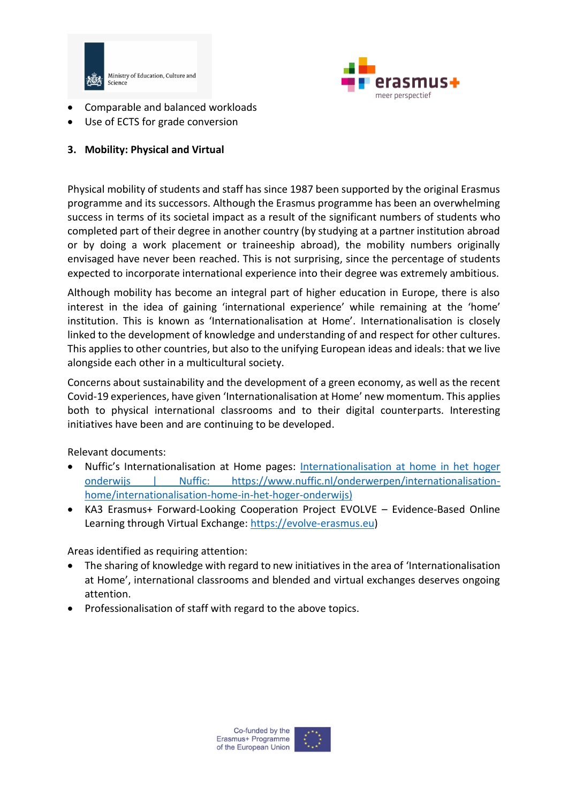



- Comparable and balanced workloads
- Use of ECTS for grade conversion

### **3. Mobility: Physical and Virtual**

Physical mobility of students and staff has since 1987 been supported by the original Erasmus programme and its successors. Although the Erasmus programme has been an overwhelming success in terms of its societal impact as a result of the significant numbers of students who completed part of their degree in another country (by studying at a partner institution abroad or by doing a work placement or traineeship abroad), the mobility numbers originally envisaged have never been reached. This is not surprising, since the percentage of students expected to incorporate international experience into their degree was extremely ambitious.

Although mobility has become an integral part of higher education in Europe, there is also interest in the idea of gaining 'international experience' while remaining at the 'home' institution. This is known as 'Internationalisation at Home'. Internationalisation is closely linked to the development of knowledge and understanding of and respect for other cultures. This applies to other countries, but also to the unifying European ideas and ideals: that we live alongside each other in a multicultural society.

Concerns about sustainability and the development of a green economy, as well as the recent Covid-19 experiences, have given 'Internationalisation at Home' new momentum. This applies both to physical international classrooms and to their digital counterparts. Interesting initiatives have been and are continuing to be developed.

Relevant documents:

- Nuffic's Internationalisation at Home pages: [Internationalisation at home in het hoger](https://www.nuffic.nl/onderwerpen/internationalisation-home/internationalisation-home-in-het-hoger-onderwijs)  [onderwijs | Nuffic:](https://www.nuffic.nl/onderwerpen/internationalisation-home/internationalisation-home-in-het-hoger-onderwijs) https://www.nuffic.nl/onderwerpen/internationalisationhome/internationalisation-home-in-het-hoger-onderwijs)
- KA3 Erasmus+ Forward-Looking Cooperation Project EVOLVE Evidence-Based Online Learning through Virtual Exchange: [https://evolve-erasmus.eu\)](https://evolve-erasmus.eu/)

- The sharing of knowledge with regard to new initiatives in the area of 'Internationalisation at Home', international classrooms and blended and virtual exchanges deserves ongoing attention.
- Professionalisation of staff with regard to the above topics.

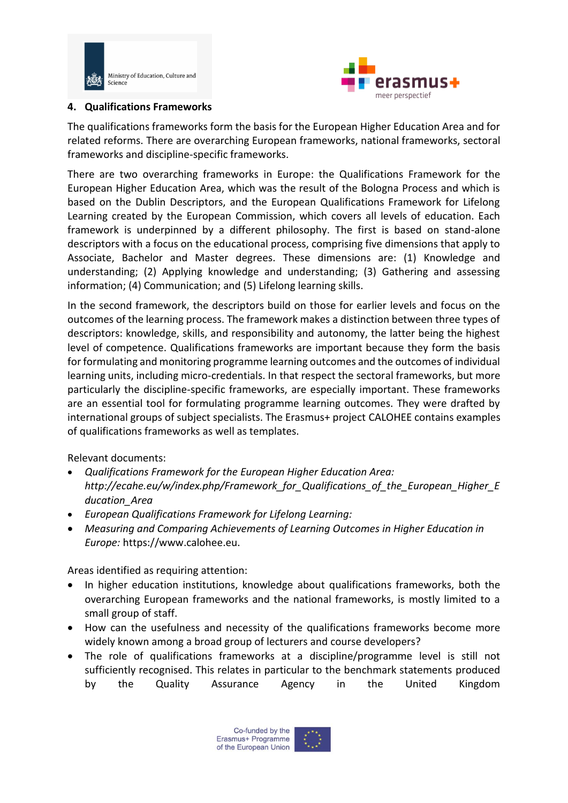



### **4. Qualifications Frameworks**

The qualifications frameworks form the basis for the European Higher Education Area and for related reforms. There are overarching European frameworks, national frameworks, sectoral frameworks and discipline-specific frameworks.

There are two overarching frameworks in Europe: the Qualifications Framework for the European Higher Education Area, which was the result of the Bologna Process and which is based on the Dublin Descriptors, and the European Qualifications Framework for Lifelong Learning created by the European Commission, which covers all levels of education. Each framework is underpinned by a different philosophy. The first is based on stand-alone descriptors with a focus on the educational process, comprising five dimensions that apply to Associate, Bachelor and Master degrees. These dimensions are: (1) Knowledge and understanding; (2) Applying knowledge and understanding; (3) Gathering and assessing information; (4) Communication; and (5) Lifelong learning skills.

In the second framework, the descriptors build on those for earlier levels and focus on the outcomes of the learning process. The framework makes a distinction between three types of descriptors: knowledge, skills, and responsibility and autonomy, the latter being the highest level of competence. Qualifications frameworks are important because they form the basis for formulating and monitoring programme learning outcomes and the outcomes of individual learning units, including micro-credentials. In that respect the sectoral frameworks, but more particularly the discipline-specific frameworks, are especially important. These frameworks are an essential tool for formulating programme learning outcomes. They were drafted by international groups of subject specialists. The Erasmus+ project CALOHEE contains examples of qualifications frameworks as well as templates.

Relevant documents:

- *Qualifications Framework for the European Higher Education Area: http://ecahe.eu/w/index.php/Framework\_for\_Qualifications\_of\_the\_European\_Higher\_E ducation\_Area*
- *European Qualifications Framework for Lifelong Learning:*
- *Measuring and Comparing Achievements of Learning Outcomes in Higher Education in Europe:* https://www.calohee.eu.

- In higher education institutions, knowledge about qualifications frameworks, both the overarching European frameworks and the national frameworks, is mostly limited to a small group of staff.
- How can the usefulness and necessity of the qualifications frameworks become more widely known among a broad group of lecturers and course developers?
- The role of qualifications frameworks at a discipline/programme level is still not sufficiently recognised. This relates in particular to the benchmark statements produced by the Quality Assurance Agency in the United Kingdom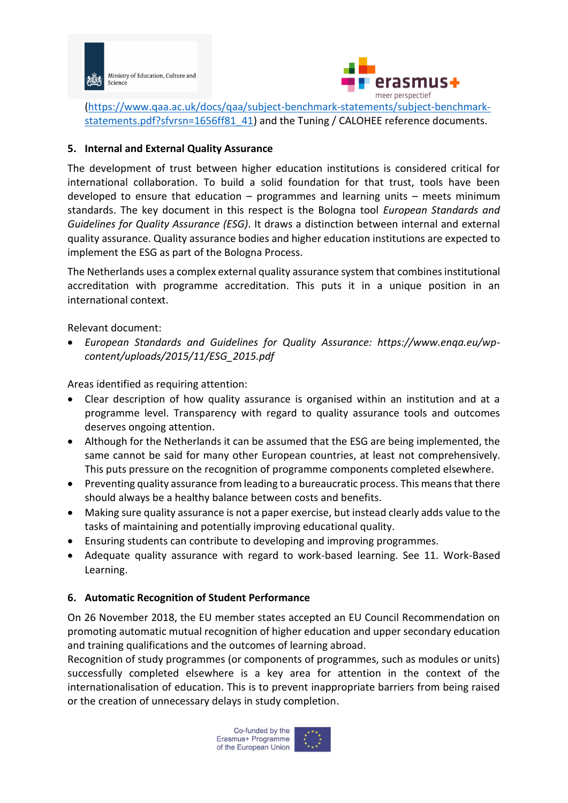



[\(https://www.qaa.ac.uk/docs/qaa/subject-benchmark-statements/subject-benchmark](https://www.qaa.ac.uk/docs/qaa/subject-benchmark-statements/subject-benchmark-statements.pdf?sfvrsn=1656ff81_41)[statements.pdf?sfvrsn=1656ff81\\_41\)](https://www.qaa.ac.uk/docs/qaa/subject-benchmark-statements/subject-benchmark-statements.pdf?sfvrsn=1656ff81_41) and the Tuning / CALOHEE reference documents.

#### **5. Internal and External Quality Assurance**

The development of trust between higher education institutions is considered critical for international collaboration. To build a solid foundation for that trust, tools have been developed to ensure that education  $-$  programmes and learning units  $-$  meets minimum standards. The key document in this respect is the Bologna tool *European Standards and Guidelines for Quality Assurance (ESG)*. It draws a distinction between internal and external quality assurance. Quality assurance bodies and higher education institutions are expected to implement the ESG as part of the Bologna Process.

The Netherlands uses a complex external quality assurance system that combines institutional accreditation with programme accreditation. This puts it in a unique position in an international context.

Relevant document:

• *European Standards and Guidelines for Quality Assurance: https://www.enqa.eu/wpcontent/uploads/2015/11/ESG\_2015.pdf*

Areas identified as requiring attention:

- Clear description of how quality assurance is organised within an institution and at a programme level. Transparency with regard to quality assurance tools and outcomes deserves ongoing attention.
- Although for the Netherlands it can be assumed that the ESG are being implemented, the same cannot be said for many other European countries, at least not comprehensively. This puts pressure on the recognition of programme components completed elsewhere.
- Preventing quality assurance from leading to a bureaucratic process. This means that there should always be a healthy balance between costs and benefits.
- Making sure quality assurance is not a paper exercise, but instead clearly adds value to the tasks of maintaining and potentially improving educational quality.
- Ensuring students can contribute to developing and improving programmes.
- Adequate quality assurance with regard to work-based learning. See 11. Work-Based Learning.

### **6. Automatic Recognition of Student Performance**

On 26 November 2018, the EU member states accepted an EU Council Recommendation on promoting automatic mutual recognition of higher education and upper secondary education and training qualifications and the outcomes of learning abroad.

Recognition of study programmes (or components of programmes, such as modules or units) successfully completed elsewhere is a key area for attention in the context of the internationalisation of education. This is to prevent inappropriate barriers from being raised or the creation of unnecessary delays in study completion.

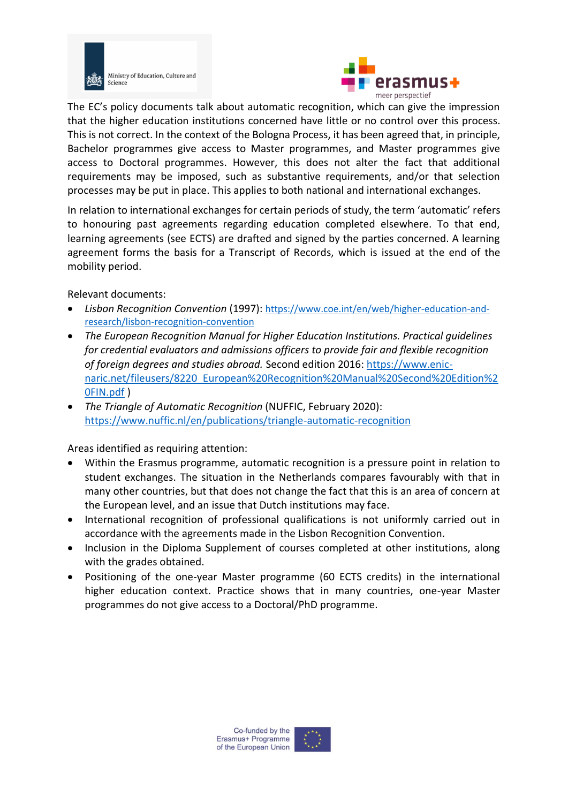



The EC's policy documents talk about automatic recognition, which can give the impression that the higher education institutions concerned have little or no control over this process. This is not correct. In the context of the Bologna Process, it has been agreed that, in principle, Bachelor programmes give access to Master programmes, and Master programmes give access to Doctoral programmes. However, this does not alter the fact that additional requirements may be imposed, such as substantive requirements, and/or that selection processes may be put in place. This applies to both national and international exchanges.

In relation to international exchanges for certain periods of study, the term 'automatic' refers to honouring past agreements regarding education completed elsewhere. To that end, learning agreements (see ECTS) are drafted and signed by the parties concerned. A learning agreement forms the basis for a Transcript of Records, which is issued at the end of the mobility period.

Relevant documents:

- *Lisbon Recognition Convention* (1997): [https://www.coe.int/en/web/higher-education-and](https://www.coe.int/en/web/higher-education-and-research/lisbon-recognition-convention)[research/lisbon-recognition-convention](https://www.coe.int/en/web/higher-education-and-research/lisbon-recognition-convention)
- *The European Recognition Manual for Higher Education Institutions. Practical guidelines for credential evaluators and admissions officers to provide fair and flexible recognition of foreign degrees and studies abroad.* Second edition 2016: [https://www.enic](https://www.enic-naric.net/fileusers/8220_European%20Recognition%20Manual%20Second%20Edition%20FIN.pdf)[naric.net/fileusers/8220\\_European%20Recognition%20Manual%20Second%20Edition%2](https://www.enic-naric.net/fileusers/8220_European%20Recognition%20Manual%20Second%20Edition%20FIN.pdf) [0FIN.pdf](https://www.enic-naric.net/fileusers/8220_European%20Recognition%20Manual%20Second%20Edition%20FIN.pdf) )
- *The Triangle of Automatic Recognition* (NUFFIC, February 2020): <https://www.nuffic.nl/en/publications/triangle-automatic-recognition>

- Within the Erasmus programme, automatic recognition is a pressure point in relation to student exchanges. The situation in the Netherlands compares favourably with that in many other countries, but that does not change the fact that this is an area of concern at the European level, and an issue that Dutch institutions may face.
- International recognition of professional qualifications is not uniformly carried out in accordance with the agreements made in the Lisbon Recognition Convention.
- Inclusion in the Diploma Supplement of courses completed at other institutions, along with the grades obtained.
- Positioning of the one-year Master programme (60 ECTS credits) in the international higher education context. Practice shows that in many countries, one-year Master programmes do not give access to a Doctoral/PhD programme.

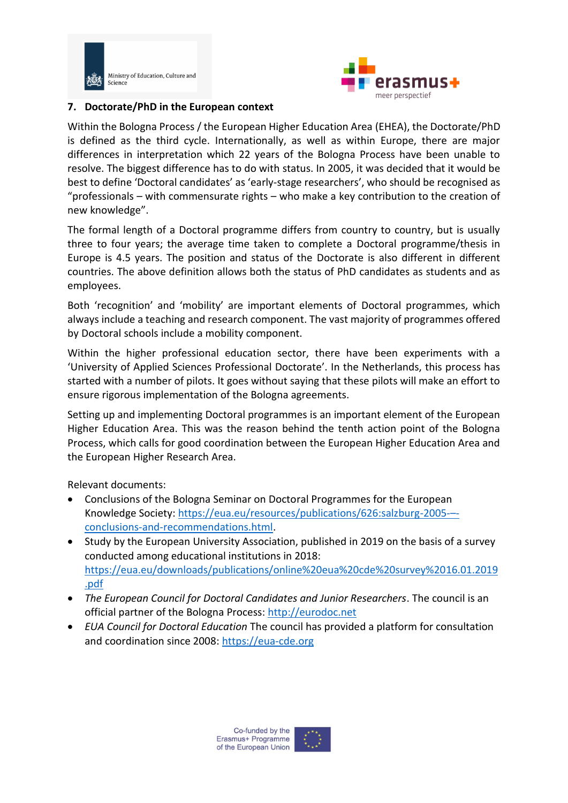



#### **7. Doctorate/PhD in the European context**

Within the Bologna Process / the European Higher Education Area (EHEA), the Doctorate/PhD is defined as the third cycle. Internationally, as well as within Europe, there are major differences in interpretation which 22 years of the Bologna Process have been unable to resolve. The biggest difference has to do with status. In 2005, it was decided that it would be best to define 'Doctoral candidates' as 'early-stage researchers', who should be recognised as "professionals – with commensurate rights – who make a key contribution to the creation of new knowledge".

The formal length of a Doctoral programme differs from country to country, but is usually three to four years; the average time taken to complete a Doctoral programme/thesis in Europe is 4.5 years. The position and status of the Doctorate is also different in different countries. The above definition allows both the status of PhD candidates as students and as employees.

Both 'recognition' and 'mobility' are important elements of Doctoral programmes, which always include a teaching and research component. The vast majority of programmes offered by Doctoral schools include a mobility component.

Within the higher professional education sector, there have been experiments with a 'University of Applied Sciences Professional Doctorate'. In the Netherlands, this process has started with a number of pilots. It goes without saying that these pilots will make an effort to ensure rigorous implementation of the Bologna agreements.

Setting up and implementing Doctoral programmes is an important element of the European Higher Education Area. This was the reason behind the tenth action point of the Bologna Process, which calls for good coordination between the European Higher Education Area and the European Higher Research Area.

Relevant documents:

- Conclusions of the Bologna Seminar on Doctoral Programmes for the European Knowledge Society[: https://eua.eu/resources/publications/626:salzburg-2005-](https://eua.eu/resources/publications/626:salzburg-2005-–-conclusions-and-recommendations.html)– [conclusions-and-recommendations.html.](https://eua.eu/resources/publications/626:salzburg-2005-–-conclusions-and-recommendations.html)
- Study by the European University Association, published in 2019 on the basis of a survey conducted among educational institutions in 2018: [https://eua.eu/downloads/publications/online%20eua%20cde%20survey%2016.01.2019](https://eua.eu/downloads/publications/online%20eua%20cde%20survey%2016.01.2019.pdf) [.pdf](https://eua.eu/downloads/publications/online%20eua%20cde%20survey%2016.01.2019.pdf)
- *The European Council for Doctoral Candidates and Junior Researchers*. The council is an official partner of the Bologna Process: [http://eurodoc.net](http://eurodoc.net/)
- *EUA Council for Doctoral Education* The council has provided a platform for consultation and coordination since 2008: [https://eua-cde.org](https://eua-cde.org/)

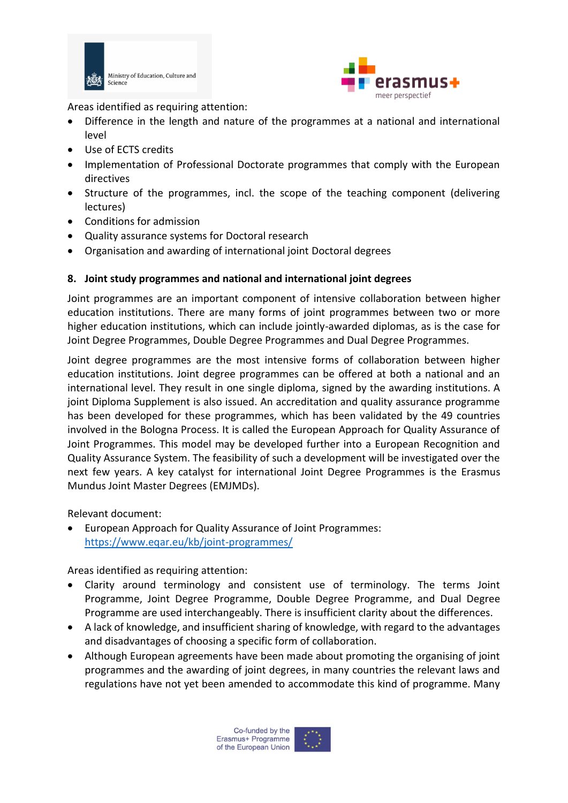



Areas identified as requiring attention:

- Difference in the length and nature of the programmes at a national and international level
- Use of ECTS credits
- Implementation of Professional Doctorate programmes that comply with the European directives
- Structure of the programmes, incl. the scope of the teaching component (delivering lectures)
- Conditions for admission
- Quality assurance systems for Doctoral research
- Organisation and awarding of international joint Doctoral degrees

### **8. Joint study programmes and national and international joint degrees**

Joint programmes are an important component of intensive collaboration between higher education institutions. There are many forms of joint programmes between two or more higher education institutions, which can include jointly-awarded diplomas, as is the case for Joint Degree Programmes, Double Degree Programmes and Dual Degree Programmes.

Joint degree programmes are the most intensive forms of collaboration between higher education institutions. Joint degree programmes can be offered at both a national and an international level. They result in one single diploma, signed by the awarding institutions. A joint Diploma Supplement is also issued. An accreditation and quality assurance programme has been developed for these programmes, which has been validated by the 49 countries involved in the Bologna Process. It is called the European Approach for Quality Assurance of Joint Programmes. This model may be developed further into a European Recognition and Quality Assurance System. The feasibility of such a development will be investigated over the next few years. A key catalyst for international Joint Degree Programmes is the Erasmus Mundus Joint Master Degrees (EMJMDs).

Relevant document:

• European Approach for Quality Assurance of Joint Programmes: <https://www.eqar.eu/kb/joint-programmes/>

- Clarity around terminology and consistent use of terminology. The terms Joint Programme, Joint Degree Programme, Double Degree Programme, and Dual Degree Programme are used interchangeably. There is insufficient clarity about the differences.
- A lack of knowledge, and insufficient sharing of knowledge, with regard to the advantages and disadvantages of choosing a specific form of collaboration.
- Although European agreements have been made about promoting the organising of joint programmes and the awarding of joint degrees, in many countries the relevant laws and regulations have not yet been amended to accommodate this kind of programme. Many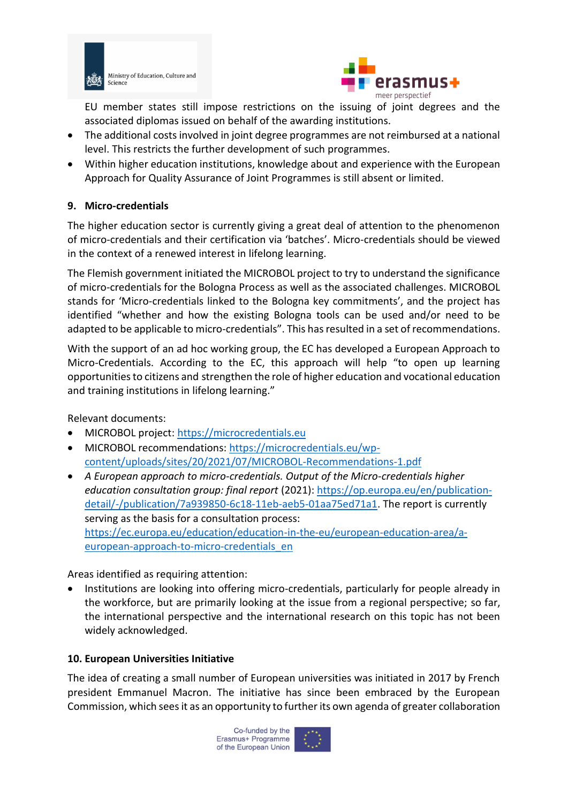



EU member states still impose restrictions on the issuing of joint degrees and the associated diplomas issued on behalf of the awarding institutions.

- The additional costs involved in joint degree programmes are not reimbursed at a national level. This restricts the further development of such programmes.
- Within higher education institutions, knowledge about and experience with the European Approach for Quality Assurance of Joint Programmes is still absent or limited.

### **9. Micro-credentials**

The higher education sector is currently giving a great deal of attention to the phenomenon of micro-credentials and their certification via 'batches'. Micro-credentials should be viewed in the context of a renewed interest in lifelong learning.

The Flemish government initiated the MICROBOL project to try to understand the significance of micro-credentials for the Bologna Process as well as the associated challenges. MICROBOL stands for 'Micro-credentials linked to the Bologna key commitments', and the project has identified "whether and how the existing Bologna tools can be used and/or need to be adapted to be applicable to micro-credentials". This has resulted in a set of recommendations.

With the support of an ad hoc working group, the EC has developed a European Approach to Micro-Credentials. According to the EC, this approach will help "to open up learning opportunities to citizens and strengthen the role of higher education and vocational education and training institutions in lifelong learning."

Relevant documents:

- MICROBOL project: [https://microcredentials.eu](https://microcredentials.eu/)
- MICROBOL recommendations: [https://microcredentials.eu/wp](https://microcredentials.eu/wp-content/uploads/sites/20/2021/07/MICROBOL-Recommendations-1.pdf)[content/uploads/sites/20/2021/07/MICROBOL-Recommendations-1.pdf](https://microcredentials.eu/wp-content/uploads/sites/20/2021/07/MICROBOL-Recommendations-1.pdf)
- *A European approach to micro-credentials. Output of the Micro-credentials higher education consultation group: final report* (2021): [https://op.europa.eu/en/publication](https://op.europa.eu/en/publication-detail/-/publication/7a939850-6c18-11eb-aeb5-01aa75ed71a1)[detail/-/publication/7a939850-6c18-11eb-aeb5-01aa75ed71a1.](https://op.europa.eu/en/publication-detail/-/publication/7a939850-6c18-11eb-aeb5-01aa75ed71a1) The report is currently serving as the basis for a consultation process: [https://ec.europa.eu/education/education-in-the-eu/european-education-area/a](https://ec.europa.eu/education/education-in-the-eu/european-education-area/a-european-approach-to-micro-credentials_en)[european-approach-to-micro-credentials\\_en](https://ec.europa.eu/education/education-in-the-eu/european-education-area/a-european-approach-to-micro-credentials_en)

Areas identified as requiring attention:

• Institutions are looking into offering micro-credentials, particularly for people already in the workforce, but are primarily looking at the issue from a regional perspective; so far, the international perspective and the international research on this topic has not been widely acknowledged.

### **10. European Universities Initiative**

The idea of creating a small number of European universities was initiated in 2017 by French president Emmanuel Macron. The initiative has since been embraced by the European Commission, which sees it as an opportunity to further its own agenda of greater collaboration

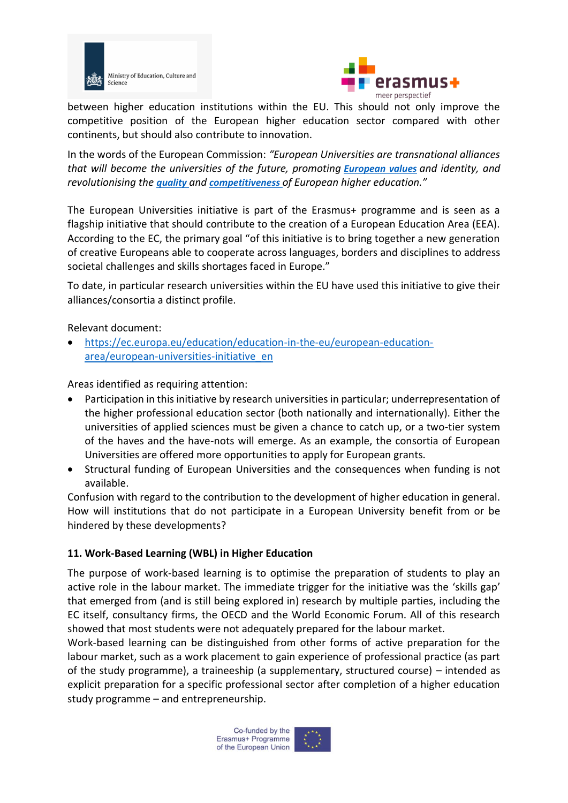



between higher education institutions within the EU. This should not only improve the competitive position of the European higher education sector compared with other continents, but should also contribute to innovation.

In the words of the European Commission: *"European Universities are transnational alliances that will become the universities of the future, promoting [European values](https://ec.europa.eu/education/education-in-the-eu/council-recommendation-on-common-values-inclusive-education-and-the-european-dimension-of-teaching_en) and identity, and revolutionising the [quality](https://ec.europa.eu/education/policies/higher-education/relevant-and-high-quality-higher-education_en) and [competitiveness](https://ec.europa.eu/education/policies/international-cooperation/making-eu-more-attractive-foreign-students_en) of European higher education."*

The European Universities initiative is part of the Erasmus+ programme and is seen as a flagship initiative that should contribute to the creation of a European Education Area (EEA). According to the EC, the primary goal "of this initiative is to bring together a new generation of creative Europeans able to cooperate across languages, borders and disciplines to address societal challenges and skills shortages faced in Europe."

To date, in particular research universities within the EU have used this initiative to give their alliances/consortia a distinct profile.

Relevant document:

• [https://ec.europa.eu/education/education-in-the-eu/european-education](https://ec.europa.eu/education/education-in-the-eu/european-education-area/european-universities-initiative_en)[area/european-universities-initiative\\_en](https://ec.europa.eu/education/education-in-the-eu/european-education-area/european-universities-initiative_en)

Areas identified as requiring attention:

- Participation in this initiative by research universities in particular; underrepresentation of the higher professional education sector (both nationally and internationally). Either the universities of applied sciences must be given a chance to catch up, or a two-tier system of the haves and the have-nots will emerge. As an example, the consortia of European Universities are offered more opportunities to apply for European grants.
- Structural funding of European Universities and the consequences when funding is not available.

Confusion with regard to the contribution to the development of higher education in general. How will institutions that do not participate in a European University benefit from or be hindered by these developments?

### **11. Work-Based Learning (WBL) in Higher Education**

The purpose of work-based learning is to optimise the preparation of students to play an active role in the labour market. The immediate trigger for the initiative was the 'skills gap' that emerged from (and is still being explored in) research by multiple parties, including the EC itself, consultancy firms, the OECD and the World Economic Forum. All of this research showed that most students were not adequately prepared for the labour market.

Work-based learning can be distinguished from other forms of active preparation for the labour market, such as a work placement to gain experience of professional practice (as part of the study programme), a traineeship (a supplementary, structured course) – intended as explicit preparation for a specific professional sector after completion of a higher education study programme – and entrepreneurship.

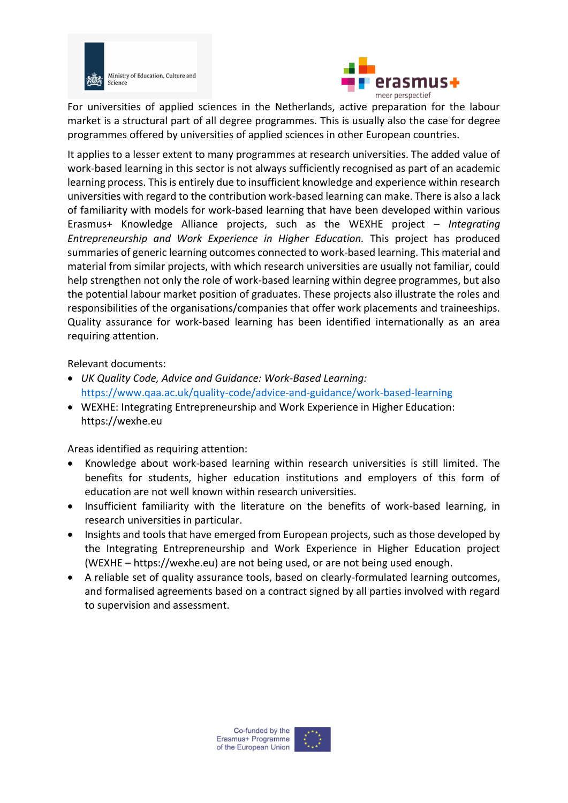

Ministry of Education, Culture and Science



For universities of applied sciences in the Netherlands, active preparation for the labour market is a structural part of all degree programmes. This is usually also the case for degree programmes offered by universities of applied sciences in other European countries.

It applies to a lesser extent to many programmes at research universities. The added value of work-based learning in this sector is not always sufficiently recognised as part of an academic learning process. This is entirely due to insufficient knowledge and experience within research universities with regard to the contribution work-based learning can make. There is also a lack of familiarity with models for work-based learning that have been developed within various Erasmus+ Knowledge Alliance projects, such as the WEXHE project – *Integrating Entrepreneurship and Work Experience in Higher Education.* This project has produced summaries of generic learning outcomes connected to work-based learning. This material and material from similar projects, with which research universities are usually not familiar, could help strengthen not only the role of work-based learning within degree programmes, but also the potential labour market position of graduates. These projects also illustrate the roles and responsibilities of the organisations/companies that offer work placements and traineeships. Quality assurance for work-based learning has been identified internationally as an area requiring attention.

Relevant documents:

- *UK Quality Code, Advice and Guidance: Work-Based Learning:* <https://www.qaa.ac.uk/quality-code/advice-and-guidance/work-based-learning>
- WEXHE: Integrating Entrepreneurship and Work Experience in Higher Education: https://wexhe.eu

- Knowledge about work-based learning within research universities is still limited. The benefits for students, higher education institutions and employers of this form of education are not well known within research universities.
- Insufficient familiarity with the literature on the benefits of work-based learning, in research universities in particular.
- Insights and tools that have emerged from European projects, such as those developed by the Integrating Entrepreneurship and Work Experience in Higher Education project (WEXHE – https://wexhe.eu) are not being used, or are not being used enough.
- A reliable set of quality assurance tools, based on clearly-formulated learning outcomes, and formalised agreements based on a contract signed by all parties involved with regard to supervision and assessment.

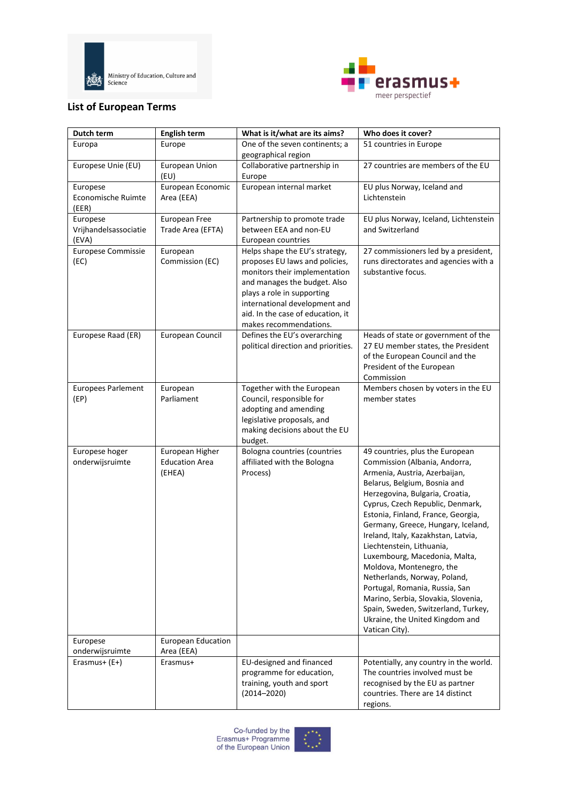



## **List of European Terms**

| Dutch term                        | <b>English term</b>                      | What is it/what are its aims?                                    | Who does it cover?                                                            |
|-----------------------------------|------------------------------------------|------------------------------------------------------------------|-------------------------------------------------------------------------------|
| Europa                            | Europe                                   | One of the seven continents; a                                   | 51 countries in Europe                                                        |
|                                   |                                          | geographical region                                              |                                                                               |
| Europese Unie (EU)                | European Union                           | Collaborative partnership in                                     | 27 countries are members of the EU                                            |
| Europese                          | (EU)<br>European Economic                | Europe<br>European internal market                               | EU plus Norway, Iceland and                                                   |
| Economische Ruimte                | Area (EEA)                               |                                                                  | Lichtenstein                                                                  |
| (EER)                             |                                          |                                                                  |                                                                               |
| Europese                          | European Free                            | Partnership to promote trade                                     | EU plus Norway, Iceland, Lichtenstein                                         |
| Vrijhandelsassociatie             | Trade Area (EFTA)                        | between EEA and non-EU                                           | and Switzerland                                                               |
| (EVA)                             |                                          | European countries                                               |                                                                               |
| Europese Commissie<br>(EC)        | European<br>Commission (EC)              | Helps shape the EU's strategy,<br>proposes EU laws and policies, | 27 commissioners led by a president,<br>runs directorates and agencies with a |
|                                   |                                          | monitors their implementation                                    | substantive focus.                                                            |
|                                   |                                          | and manages the budget. Also                                     |                                                                               |
|                                   |                                          | plays a role in supporting                                       |                                                                               |
|                                   |                                          | international development and                                    |                                                                               |
|                                   |                                          | aid. In the case of education, it<br>makes recommendations.      |                                                                               |
| Europese Raad (ER)                | European Council                         | Defines the EU's overarching                                     | Heads of state or government of the                                           |
|                                   |                                          | political direction and priorities.                              | 27 EU member states, the President                                            |
|                                   |                                          |                                                                  | of the European Council and the                                               |
|                                   |                                          |                                                                  | President of the European                                                     |
|                                   |                                          | Together with the European                                       | Commission                                                                    |
| <b>Europees Parlement</b><br>(EP) | European<br>Parliament                   | Council, responsible for                                         | Members chosen by voters in the EU<br>member states                           |
|                                   |                                          | adopting and amending                                            |                                                                               |
|                                   |                                          | legislative proposals, and                                       |                                                                               |
|                                   |                                          | making decisions about the EU                                    |                                                                               |
|                                   |                                          | budget.                                                          |                                                                               |
| Europese hoger<br>onderwijsruimte | European Higher<br><b>Education Area</b> | Bologna countries (countries<br>affiliated with the Bologna      | 49 countries, plus the European<br>Commission (Albania, Andorra,              |
|                                   | (EHEA)                                   | Process)                                                         | Armenia, Austria, Azerbaijan,                                                 |
|                                   |                                          |                                                                  | Belarus, Belgium, Bosnia and                                                  |
|                                   |                                          |                                                                  | Herzegovina, Bulgaria, Croatia,                                               |
|                                   |                                          |                                                                  | Cyprus, Czech Republic, Denmark,                                              |
|                                   |                                          |                                                                  | Estonia, Finland, France, Georgia,<br>Germany, Greece, Hungary, Iceland,      |
|                                   |                                          |                                                                  | Ireland, Italy, Kazakhstan, Latvia,                                           |
|                                   |                                          |                                                                  | Liechtenstein, Lithuania,                                                     |
|                                   |                                          |                                                                  | Luxembourg, Macedonia, Malta,                                                 |
|                                   |                                          |                                                                  | Moldova, Montenegro, the                                                      |
|                                   |                                          |                                                                  | Netherlands, Norway, Poland,                                                  |
|                                   |                                          |                                                                  | Portugal, Romania, Russia, San<br>Marino, Serbia, Slovakia, Slovenia,         |
|                                   |                                          |                                                                  | Spain, Sweden, Switzerland, Turkey,                                           |
|                                   |                                          |                                                                  | Ukraine, the United Kingdom and                                               |
|                                   |                                          |                                                                  | Vatican City).                                                                |
| Europese                          | <b>European Education</b>                |                                                                  |                                                                               |
| onderwijsruimte<br>Erasmus+ (E+)  | Area (EEA)<br>Erasmus+                   | EU-designed and financed                                         | Potentially, any country in the world.                                        |
|                                   |                                          | programme for education,                                         | The countries involved must be                                                |
|                                   |                                          | training, youth and sport                                        | recognised by the EU as partner                                               |
|                                   |                                          | $(2014 - 2020)$                                                  | countries. There are 14 distinct                                              |
|                                   |                                          |                                                                  | regions.                                                                      |

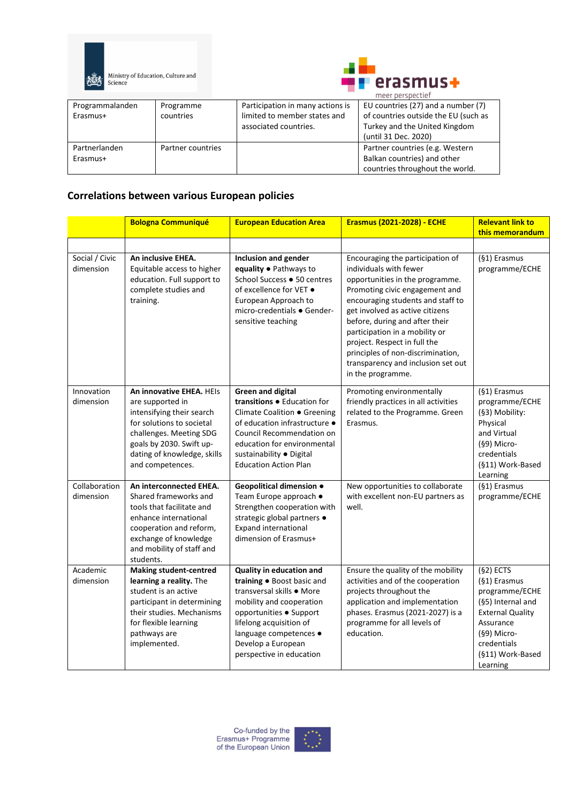



|                 |                   |                                  | meer perspectief                     |  |
|-----------------|-------------------|----------------------------------|--------------------------------------|--|
| Programmalanden | Programme         | Participation in many actions is | EU countries (27) and a number (7)   |  |
| Erasmus+        | countries         | limited to member states and     | of countries outside the EU (such as |  |
|                 |                   | associated countries.            | Turkey and the United Kingdom        |  |
|                 |                   |                                  | (until 31 Dec. 2020)                 |  |
| Partnerlanden   | Partner countries |                                  | Partner countries (e.g. Western      |  |
| Erasmus+        |                   |                                  | Balkan countries) and other          |  |
|                 |                   |                                  | countries throughout the world.      |  |

## **Correlations between various European policies**

|                             | <b>Bologna Communiqué</b>                                                                                                                                                                                        | <b>European Education Area</b>                                                                                                                                                                                                                    | <b>Erasmus (2021-2028) - ECHE</b>                                                                                                                                                                                                                                                                                                                                                                           | <b>Relevant link to</b><br>this memorandum                                                                                                                               |
|-----------------------------|------------------------------------------------------------------------------------------------------------------------------------------------------------------------------------------------------------------|---------------------------------------------------------------------------------------------------------------------------------------------------------------------------------------------------------------------------------------------------|-------------------------------------------------------------------------------------------------------------------------------------------------------------------------------------------------------------------------------------------------------------------------------------------------------------------------------------------------------------------------------------------------------------|--------------------------------------------------------------------------------------------------------------------------------------------------------------------------|
|                             |                                                                                                                                                                                                                  |                                                                                                                                                                                                                                                   |                                                                                                                                                                                                                                                                                                                                                                                                             |                                                                                                                                                                          |
| Social / Civic<br>dimension | An inclusive EHEA.<br>Equitable access to higher<br>education. Full support to<br>complete studies and<br>training.                                                                                              | <b>Inclusion and gender</b><br>equality • Pathways to<br>School Success . 50 centres<br>of excellence for VET $\bullet$<br>European Approach to<br>micro-credentials ● Gender-<br>sensitive teaching                                              | Encouraging the participation of<br>individuals with fewer<br>opportunities in the programme.<br>Promoting civic engagement and<br>encouraging students and staff to<br>get involved as active citizens<br>before, during and after their<br>participation in a mobility or<br>project. Respect in full the<br>principles of non-discrimination,<br>transparency and inclusion set out<br>in the programme. | (§1) Erasmus<br>programme/ECHE                                                                                                                                           |
| Innovation<br>dimension     | An innovative EHEA. HEIs<br>are supported in<br>intensifying their search<br>for solutions to societal<br>challenges. Meeting SDG<br>goals by 2030. Swift up-<br>dating of knowledge, skills<br>and competences. | <b>Green and digital</b><br>transitions . Education for<br>Climate Coalition ● Greening<br>of education infrastructure ·<br>Council Recommendation on<br>education for environmental<br>sustainability · Digital<br><b>Education Action Plan</b>  | Promoting environmentally<br>friendly practices in all activities<br>related to the Programme. Green<br>Erasmus.                                                                                                                                                                                                                                                                                            | (§1) Erasmus<br>programme/ECHE<br>(§3) Mobility:<br>Physical<br>and Virtual<br>(§9) Micro-<br>credentials<br>(§11) Work-Based<br>Learning                                |
| Collaboration<br>dimension  | An interconnected EHEA.<br>Shared frameworks and<br>tools that facilitate and<br>enhance international<br>cooperation and reform,<br>exchange of knowledge<br>and mobility of staff and<br>students.             | Geopolitical dimension .<br>Team Europe approach ●<br>Strengthen cooperation with<br>strategic global partners ·<br><b>Expand international</b><br>dimension of Erasmus+                                                                          | New opportunities to collaborate<br>with excellent non-EU partners as<br>well.                                                                                                                                                                                                                                                                                                                              | (§1) Erasmus<br>programme/ECHE                                                                                                                                           |
| Academic<br>dimension       | <b>Making student-centred</b><br>learning a reality. The<br>student is an active<br>participant in determining<br>their studies. Mechanisms<br>for flexible learning<br>pathways are<br>implemented.             | Quality in education and<br>training . Boost basic and<br>transversal skills • More<br>mobility and cooperation<br>opportunities · Support<br>lifelong acquisition of<br>language competences ·<br>Develop a European<br>perspective in education | Ensure the quality of the mobility<br>activities and of the cooperation<br>projects throughout the<br>application and implementation<br>phases. Erasmus (2021-2027) is a<br>programme for all levels of<br>education.                                                                                                                                                                                       | $(§2)$ ECTS<br>(§1) Erasmus<br>programme/ECHE<br>(§5) Internal and<br><b>External Quality</b><br>Assurance<br>(§9) Micro-<br>credentials<br>(§11) Work-Based<br>Learning |